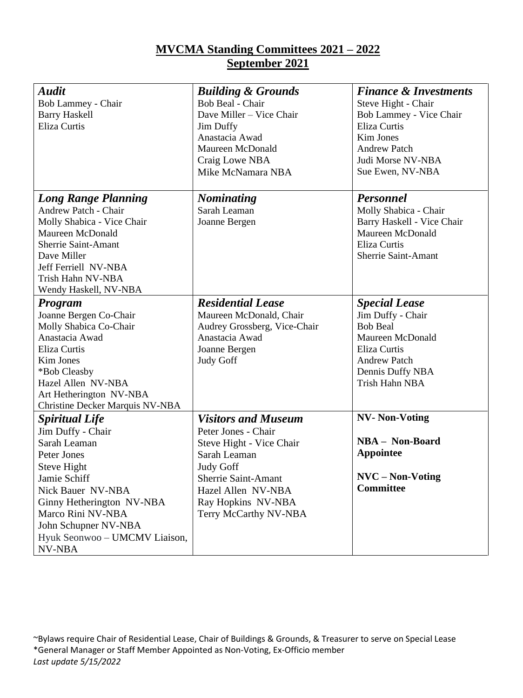## **MVCMA Standing Committees 2021 – 2022 September 2021**

| <b>Audit</b>                    | <b>Building &amp; Grounds</b> | <b>Finance &amp; Investments</b> |
|---------------------------------|-------------------------------|----------------------------------|
| Bob Lammey - Chair              | Bob Beal - Chair              | Steve Hight - Chair              |
| <b>Barry Haskell</b>            | Dave Miller - Vice Chair      | Bob Lammey - Vice Chair          |
| Eliza Curtis                    | Jim Duffy                     | <b>Eliza Curtis</b>              |
|                                 | Anastacia Awad                | Kim Jones                        |
|                                 | Maureen McDonald              | <b>Andrew Patch</b>              |
|                                 | Craig Lowe NBA                | Judi Morse NV-NBA                |
|                                 | Mike McNamara NBA             | Sue Ewen, NV-NBA                 |
|                                 |                               |                                  |
| <b>Long Range Planning</b>      | <b>Nominating</b>             | <b>Personnel</b>                 |
| Andrew Patch - Chair            | Sarah Leaman                  | Molly Shabica - Chair            |
| Molly Shabica - Vice Chair      | Joanne Bergen                 | Barry Haskell - Vice Chair       |
| Maureen McDonald                |                               | Maureen McDonald                 |
| Sherrie Saint-Amant             |                               | <b>Eliza Curtis</b>              |
| Dave Miller                     |                               | <b>Sherrie Saint-Amant</b>       |
| Jeff Ferriell NV-NBA            |                               |                                  |
| Trish Hahn NV-NBA               |                               |                                  |
| Wendy Haskell, NV-NBA           |                               |                                  |
| Program                         | <b>Residential Lease</b>      | <b>Special Lease</b>             |
| Joanne Bergen Co-Chair          | Maureen McDonald, Chair       | Jim Duffy - Chair                |
| Molly Shabica Co-Chair          | Audrey Grossberg, Vice-Chair  | <b>Bob Beal</b>                  |
| Anastacia Awad                  | Anastacia Awad                | Maureen McDonald                 |
| Eliza Curtis                    | Joanne Bergen                 | Eliza Curtis                     |
| Kim Jones                       | <b>Judy Goff</b>              | <b>Andrew Patch</b>              |
| *Bob Cleasby                    |                               | Dennis Duffy NBA                 |
| Hazel Allen NV-NBA              |                               | Trish Hahn NBA                   |
| Art Hetherington NV-NBA         |                               |                                  |
| Christine Decker Marquis NV-NBA |                               |                                  |
| <b>Spiritual Life</b>           | <b>Visitors and Museum</b>    | <b>NV- Non-Voting</b>            |
| Jim Duffy - Chair               | Peter Jones - Chair           |                                  |
| Sarah Leaman                    | Steve Hight - Vice Chair      | <b>NBA - Non-Board</b>           |
| Peter Jones                     | Sarah Leaman                  | <b>Appointee</b>                 |
| Steve Hight                     | Judy Goff                     |                                  |
| Jamie Schiff                    | <b>Sherrie Saint-Amant</b>    | $NVC - Non-Voting$               |
| Nick Bauer NV-NBA               | Hazel Allen NV-NBA            | <b>Committee</b>                 |
| Ginny Hetherington NV-NBA       | Ray Hopkins NV-NBA            |                                  |
| Marco Rini NV-NBA               | Terry McCarthy NV-NBA         |                                  |
| John Schupner NV-NBA            |                               |                                  |
| Hyuk Seonwoo – UMCMV Liaison,   |                               |                                  |
| NV-NBA                          |                               |                                  |